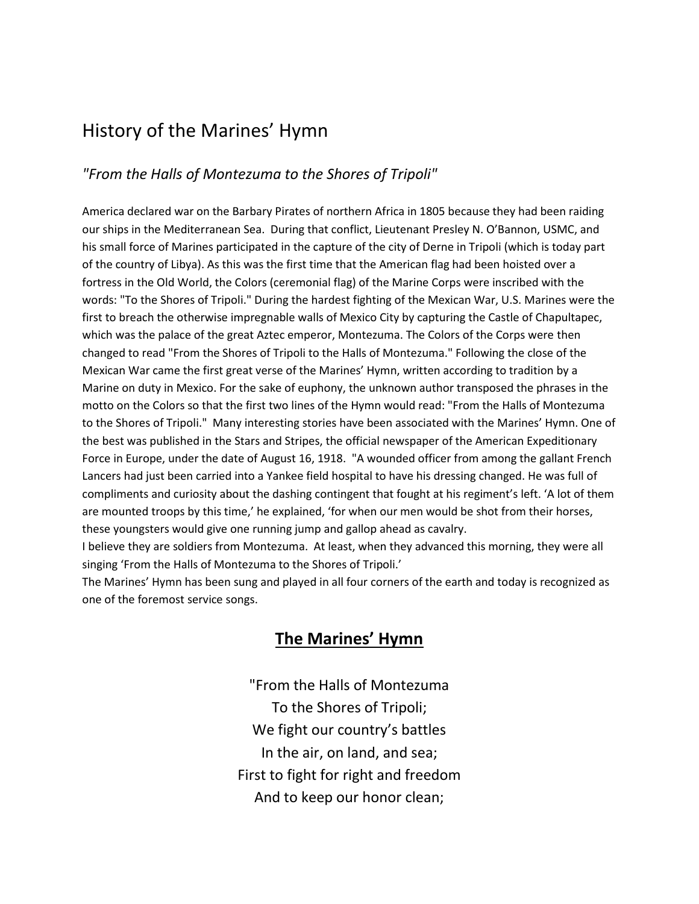## History of the Marines' Hymn

## *"From the Halls of Montezuma to the Shores of Tripoli"*

America declared war on the Barbary Pirates of northern Africa in 1805 because they had been raiding our ships in the Mediterranean Sea. During that conflict, Lieutenant Presley N. O'Bannon, USMC, and his small force of Marines participated in the capture of the city of Derne in Tripoli (which is today part of the country of Libya). As this was the first time that the American flag had been hoisted over a fortress in the Old World, the Colors (ceremonial flag) of the Marine Corps were inscribed with the words: "To the Shores of Tripoli." During the hardest fighting of the Mexican War, U.S. Marines were the first to breach the otherwise impregnable walls of Mexico City by capturing the Castle of Chapultapec, which was the palace of the great Aztec emperor, Montezuma. The Colors of the Corps were then changed to read "From the Shores of Tripoli to the Halls of Montezuma." Following the close of the Mexican War came the first great verse of the Marines' Hymn, written according to tradition by a Marine on duty in Mexico. For the sake of euphony, the unknown author transposed the phrases in the motto on the Colors so that the first two lines of the Hymn would read: "From the Halls of Montezuma to the Shores of Tripoli." Many interesting stories have been associated with the Marines' Hymn. One of the best was published in the Stars and Stripes, the official newspaper of the American Expeditionary Force in Europe, under the date of August 16, 1918. "A wounded officer from among the gallant French Lancers had just been carried into a Yankee field hospital to have his dressing changed. He was full of compliments and curiosity about the dashing contingent that fought at his regiment's left. 'A lot of them are mounted troops by this time,' he explained, 'for when our men would be shot from their horses, these youngsters would give one running jump and gallop ahead as cavalry.

I believe they are soldiers from Montezuma. At least, when they advanced this morning, they were all singing 'From the Halls of Montezuma to the Shores of Tripoli.'

The Marines' Hymn has been sung and played in all four corners of the earth and today is recognized as one of the foremost service songs.

## **The Marines' Hymn**

"From the Halls of Montezuma To the Shores of Tripoli; We fight our country's battles In the air, on land, and sea; First to fight for right and freedom And to keep our honor clean;